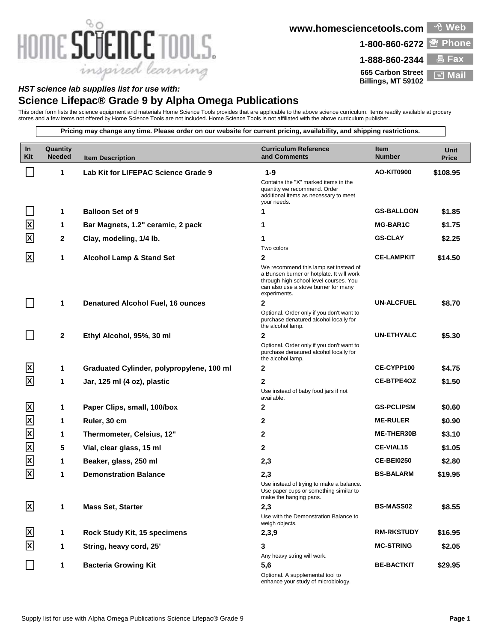## HOME SCIENCE TOOLS. inspired learning

**www.homesciencetools.com Web**

1-800-860-6272 <sup>**图 Phone**</sup>

**665 Carbon Street**

**1-888-860-2344 Fax Billings, MT 59102 Mail**

## *HST science lab supplies list for use with:*

stores and a few items not offered by Home Science Tools are not included. Home Science Tools is not affiliated with the above curriculum publisher.

**Science Lifepac® Grade 9 by Alpha Omega Publications** This order form lists the science equipment and materials Home Science Tools provides that are applicable to the above science curriculum. Items readily available at grocery **Pricing may change any time. Please order on our website for current pricing, availability, and shipping restrictions. In Quantity Curriculum Reference Item Unit Kit and Comments Number Item Description Price 1 Lab Kit for LIFEPAC Science Grade 9 1-9 AO-KIT0900 \$108.95** I. Contains the "X" marked items in the quantity we recommend. Order additional items as necessary to meet your needs. **1 Balloon Set of 9 1 GS-BALLOON \$1.85 X 1 Bar Magnets, 1.2" ceramic, 2 pack 1 MG-BAR1C \$1.75 2 Clay, modeling, 1/4 lb. 1 GS-CLAY \$2.25 X** Two colors **X 1 Alcohol Lamp & Stand Set 2 CE-LAMPKIT \$14.50** We recommend this lamp set instead of a Bunsen burner or hotplate. It will work through high school level courses. You can also use a stove burner for many experiments. **1 Denatured Alcohol Fuel, 16 ounces 2 UN-ALCFUEL \$8.70** Optional. Order only if you don't want to purchase denatured alcohol locally for the alcohol lamp. **2 Ethyl Alcohol, 95%, 30 ml 2 UN-ETHYALC \$5.30** Optional. Order only if you don't want to purchase denatured alcohol locally for the alcohol lamp. **X 1 Graduated Cylinder, polypropylene, 100 ml 2 CE-CYPP100 \$4.75 X 1 Jar, 125 ml (4 oz), plastic 2 CE-BTPE4OZ \$1.50** Use instead of baby food jars if not available. **X 1 Paper Clips, small, 100/box 2 GS-PCLIPSM \$0.60 X 1 Ruler, 30 cm 2 ME-RULER \$0.90 X 1 Thermometer, Celsius, 12" 2 ME-THER30B \$3.10 X 5 Vial, clear glass, 15 ml 2 CE-VIAL15 \$1.05 X 1 Beaker, glass, 250 ml 2,3 CE-BEI0250 \$2.80 X 1 Demonstration Balance 2,3 BS-BALARM \$19.95** Use instead of trying to make a balance. Use paper cups or something similar to make the hanging pans. **X 1 Mass Set, Starter 2,3 BS-MASS02 \$8.55** Use with the Demonstration Balance to weigh objects. **X 1 Rock Study Kit, 15 specimens 2,3,9 RM-RKSTUDY \$16.95 1 String, heavy cord, 25' 3 MC-STRING \$2.05 X** Any heavy string will work.